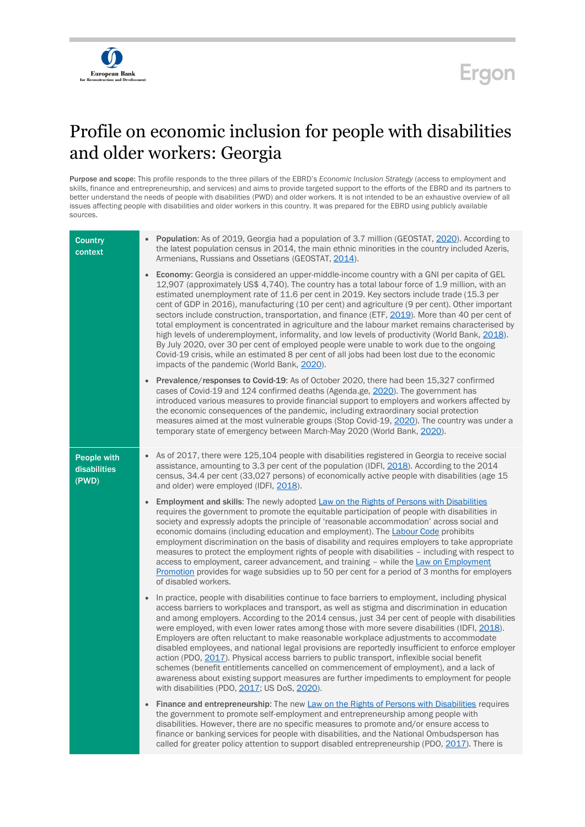

## **Ergon**

## Profile on economic inclusion for people with disabilities and older workers: Georgia

Purpose and scope: This profile responds to the three pillars of the EBRD's *Economic Inclusion Strategy* (access to employment and skills, finance and entrepreneurship, and services) and aims to provide targeted support to the efforts of the EBRD and its partners to better understand the needs of people with disabilities (PWD) and older workers. It is not intended to be an exhaustive overview of all issues affecting people with disabilities and older workers in this country. It was prepared for the EBRD using publicly available sources.

| <b>Country</b><br>context            | • Population: As of 2019, Georgia had a population of 3.7 million (GEOSTAT, 2020). According to<br>the latest population census in 2014, the main ethnic minorities in the country included Azeris,<br>Armenians, Russians and Ossetians (GEOSTAT, 2014).                                                                                                                                                                                                                                                                                                                                                                                                                                                                                                                                                                                                                                                                                                            |
|--------------------------------------|----------------------------------------------------------------------------------------------------------------------------------------------------------------------------------------------------------------------------------------------------------------------------------------------------------------------------------------------------------------------------------------------------------------------------------------------------------------------------------------------------------------------------------------------------------------------------------------------------------------------------------------------------------------------------------------------------------------------------------------------------------------------------------------------------------------------------------------------------------------------------------------------------------------------------------------------------------------------|
|                                      | <b>Economy:</b> Georgia is considered an upper-middle-income country with a GNI per capita of GEL<br>$\bullet$<br>12,907 (approximately US\$ 4,740). The country has a total labour force of 1.9 million, with an<br>estimated unemployment rate of 11.6 per cent in 2019. Key sectors include trade (15.3 per<br>cent of GDP in 2016), manufacturing (10 per cent) and agriculture (9 per cent). Other important<br>sectors include construction, transportation, and finance (ETF, 2019). More than 40 per cent of<br>total employment is concentrated in agriculture and the labour market remains characterised by<br>high levels of underemployment, informality, and low levels of productivity (World Bank, 2018).<br>By July 2020, over 30 per cent of employed people were unable to work due to the ongoing<br>Covid-19 crisis, while an estimated 8 per cent of all jobs had been lost due to the economic<br>impacts of the pandemic (World Bank, 2020). |
|                                      | Prevalence/responses to Covid-19: As of October 2020, there had been 15,327 confirmed<br>$\bullet$<br>cases of Covid-19 and 124 confirmed deaths (Agenda.ge, 2020). The government has<br>introduced various measures to provide financial support to employers and workers affected by<br>the economic consequences of the pandemic, including extraordinary social protection<br>measures aimed at the most vulnerable groups (Stop Covid-19, 2020). The country was under a<br>temporary state of emergency between March-May 2020 (World Bank, 2020).                                                                                                                                                                                                                                                                                                                                                                                                            |
| People with<br>disabilities<br>(PWD) | As of 2017, there were 125,104 people with disabilities registered in Georgia to receive social<br>$\bullet$<br>assistance, amounting to 3.3 per cent of the population (IDFI, 2018). According to the 2014<br>census, 34.4 per cent (33,027 persons) of economically active people with disabilities (age 15<br>and older) were employed (IDFI, 2018).                                                                                                                                                                                                                                                                                                                                                                                                                                                                                                                                                                                                              |
|                                      | Employment and skills: The newly adopted Law on the Rights of Persons with Disabilities<br>$\bullet$<br>requires the government to promote the equitable participation of people with disabilities in<br>society and expressly adopts the principle of 'reasonable accommodation' across social and<br>economic domains (including education and employment). The <b>Labour Code</b> prohibits<br>employment discrimination on the basis of disability and requires employers to take appropriate<br>measures to protect the employment rights of people with disabilities - including with respect to<br>access to employment, career advancement, and training - while the Law on Employment<br>Promotion provides for wage subsidies up to 50 per cent for a period of 3 months for employers<br>of disabled workers.                                                                                                                                             |
|                                      | In practice, people with disabilities continue to face barriers to employment, including physical<br>$\bullet$<br>access barriers to workplaces and transport, as well as stigma and discrimination in education<br>and among employers. According to the 2014 census, just 34 per cent of people with disabilities<br>were employed, with even lower rates among those with more severe disabilities (IDFI, 2018).<br>Employers are often reluctant to make reasonable workplace adjustments to accommodate<br>disabled employees, and national legal provisions are reportedly insufficient to enforce employer<br>action (PDO, 2017). Physical access barriers to public transport, inflexible social benefit<br>schemes (benefit entitlements cancelled on commencement of employment), and a lack of<br>awareness about existing support measures are further impediments to employment for people<br>with disabilities (PDO, 2017; US DoS, 2020).              |
|                                      | Finance and entrepreneurship: The new Law on the Rights of Persons with Disabilities requires<br>$\bullet$<br>the government to promote self-employment and entrepreneurship among people with<br>disabilities. However, there are no specific measures to promote and/or ensure access to<br>finance or banking services for people with disabilities, and the National Ombudsperson has<br>called for greater policy attention to support disabled entrepreneurship (PDO, 2017). There is                                                                                                                                                                                                                                                                                                                                                                                                                                                                          |